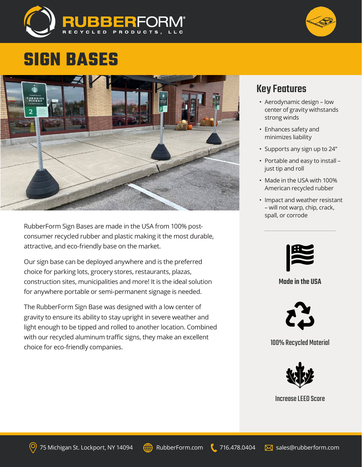

# **SIGN BASES**



RubberForm Sign Bases are made in the USA from 100% postconsumer recycled rubber and plastic making it the most durable, attractive, and eco-friendly base on the market.

Our sign base can be deployed anywhere and is the preferred choice for parking lots, grocery stores, restaurants, plazas, construction sites, municipalities and more! It is the ideal solution for anywhere portable or semi-permanent signage is needed.

The RubberForm Sign Base was designed with a low center of gravity to ensure its ability to stay upright in severe weather and light enough to be tipped and rolled to another location. Combined with our recycled aluminum traffic signs, they make an excellent choice for eco-friendly companies.

### Key Features

- Aerodynamic design low center of gravity withstands strong winds
- Enhances safety and minimizes liability
- Supports any sign up to 24"
- Portable and easy to install just tip and roll
- Made in the USA with 100% American recycled rubber
- Impact and weather resistant – will not warp, chip, crack, spall, or corrode



#### Made in the USA



100% Recycled Material



Increase LEED Score